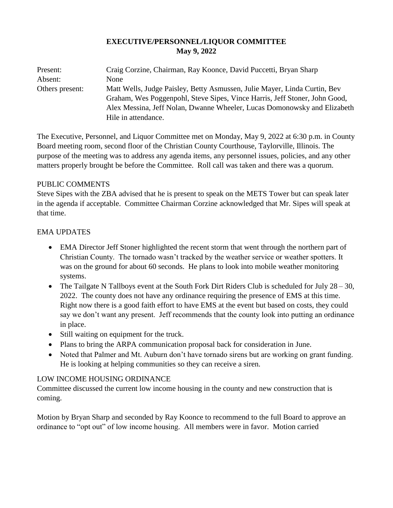## **EXECUTIVE/PERSONNEL/LIQUOR COMMITTEE May 9, 2022**

| Present:        | Craig Corzine, Chairman, Ray Koonce, David Puccetti, Bryan Sharp           |
|-----------------|----------------------------------------------------------------------------|
| Absent:         | None                                                                       |
| Others present: | Matt Wells, Judge Paisley, Betty Asmussen, Julie Mayer, Linda Curtin, Bev  |
|                 | Graham, Wes Poggenpohl, Steve Sipes, Vince Harris, Jeff Stoner, John Good, |
|                 | Alex Messina, Jeff Nolan, Dwanne Wheeler, Lucas Domonowsky and Elizabeth   |
|                 | Hile in attendance.                                                        |

The Executive, Personnel, and Liquor Committee met on Monday, May 9, 2022 at 6:30 p.m. in County Board meeting room, second floor of the Christian County Courthouse, Taylorville, Illinois. The purpose of the meeting was to address any agenda items, any personnel issues, policies, and any other matters properly brought be before the Committee. Roll call was taken and there was a quorum.

#### PUBLIC COMMENTS

Steve Sipes with the ZBA advised that he is present to speak on the METS Tower but can speak later in the agenda if acceptable. Committee Chairman Corzine acknowledged that Mr. Sipes will speak at that time.

# EMA UPDATES

- EMA Director Jeff Stoner highlighted the recent storm that went through the northern part of Christian County. The tornado wasn't tracked by the weather service or weather spotters. It was on the ground for about 60 seconds. He plans to look into mobile weather monitoring systems.
- The Tailgate N Tallboys event at the South Fork Dirt Riders Club is scheduled for July  $28 30$ , 2022. The county does not have any ordinance requiring the presence of EMS at this time. Right now there is a good faith effort to have EMS at the event but based on costs, they could say we don't want any present. Jeff recommends that the county look into putting an ordinance in place.
- Still waiting on equipment for the truck.
- Plans to bring the ARPA communication proposal back for consideration in June.
- Noted that Palmer and Mt. Auburn don't have tornado sirens but are working on grant funding. He is looking at helping communities so they can receive a siren.

# LOW INCOME HOUSING ORDINANCE

Committee discussed the current low income housing in the county and new construction that is coming.

Motion by Bryan Sharp and seconded by Ray Koonce to recommend to the full Board to approve an ordinance to "opt out" of low income housing. All members were in favor. Motion carried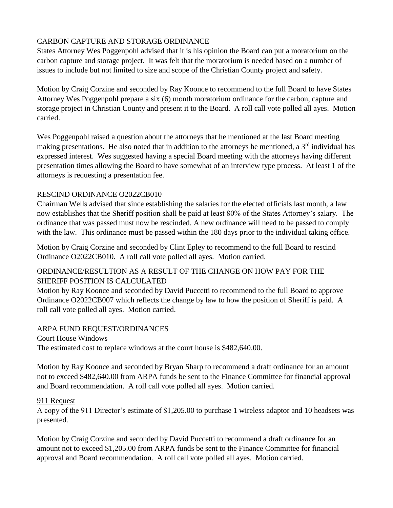# CARBON CAPTURE AND STORAGE ORDINANCE

States Attorney Wes Poggenpohl advised that it is his opinion the Board can put a moratorium on the carbon capture and storage project. It was felt that the moratorium is needed based on a number of issues to include but not limited to size and scope of the Christian County project and safety.

Motion by Craig Corzine and seconded by Ray Koonce to recommend to the full Board to have States Attorney Wes Poggenpohl prepare a six (6) month moratorium ordinance for the carbon, capture and storage project in Christian County and present it to the Board. A roll call vote polled all ayes. Motion carried.

Wes Poggenpohl raised a question about the attorneys that he mentioned at the last Board meeting making presentations. He also noted that in addition to the attorneys he mentioned, a  $3<sup>rd</sup>$  individual has expressed interest. Wes suggested having a special Board meeting with the attorneys having different presentation times allowing the Board to have somewhat of an interview type process. At least 1 of the attorneys is requesting a presentation fee.

# RESCIND ORDINANCE O2022CB010

Chairman Wells advised that since establishing the salaries for the elected officials last month, a law now establishes that the Sheriff position shall be paid at least 80% of the States Attorney's salary. The ordinance that was passed must now be rescinded. A new ordinance will need to be passed to comply with the law. This ordinance must be passed within the 180 days prior to the individual taking office.

Motion by Craig Corzine and seconded by Clint Epley to recommend to the full Board to rescind Ordinance O2022CB010. A roll call vote polled all ayes. Motion carried.

### ORDINANCE/RESULTION AS A RESULT OF THE CHANGE ON HOW PAY FOR THE SHERIFF POSITION IS CALCULATED

Motion by Ray Koonce and seconded by David Puccetti to recommend to the full Board to approve Ordinance O2022CB007 which reflects the change by law to how the position of Sheriff is paid. A roll call vote polled all ayes. Motion carried.

# ARPA FUND REQUEST/ORDINANCES

Court House Windows

The estimated cost to replace windows at the court house is \$482,640.00.

Motion by Ray Koonce and seconded by Bryan Sharp to recommend a draft ordinance for an amount not to exceed \$482,640.00 from ARPA funds be sent to the Finance Committee for financial approval and Board recommendation. A roll call vote polled all ayes. Motion carried.

#### 911 Request

A copy of the 911 Director's estimate of \$1,205.00 to purchase 1 wireless adaptor and 10 headsets was presented.

Motion by Craig Corzine and seconded by David Puccetti to recommend a draft ordinance for an amount not to exceed \$1,205.00 from ARPA funds be sent to the Finance Committee for financial approval and Board recommendation. A roll call vote polled all ayes. Motion carried.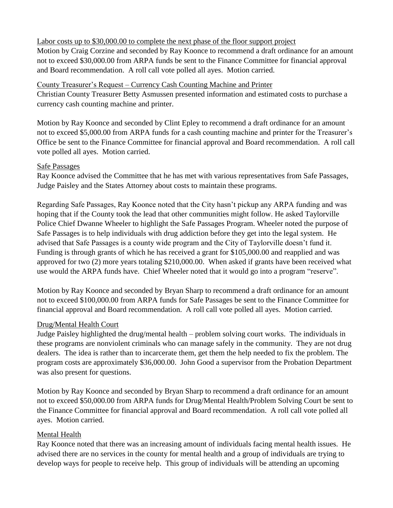#### Labor costs up to \$30,000.00 to complete the next phase of the floor support project

Motion by Craig Corzine and seconded by Ray Koonce to recommend a draft ordinance for an amount not to exceed \$30,000.00 from ARPA funds be sent to the Finance Committee for financial approval and Board recommendation. A roll call vote polled all ayes. Motion carried.

#### County Treasurer's Request – Currency Cash Counting Machine and Printer

Christian County Treasurer Betty Asmussen presented information and estimated costs to purchase a currency cash counting machine and printer.

Motion by Ray Koonce and seconded by Clint Epley to recommend a draft ordinance for an amount not to exceed \$5,000.00 from ARPA funds for a cash counting machine and printer for the Treasurer's Office be sent to the Finance Committee for financial approval and Board recommendation. A roll call vote polled all ayes. Motion carried.

#### Safe Passages

Ray Koonce advised the Committee that he has met with various representatives from Safe Passages, Judge Paisley and the States Attorney about costs to maintain these programs.

Regarding Safe Passages, Ray Koonce noted that the City hasn't pickup any ARPA funding and was hoping that if the County took the lead that other communities might follow. He asked Taylorville Police Chief Dwanne Wheeler to highlight the Safe Passages Program. Wheeler noted the purpose of Safe Passages is to help individuals with drug addiction before they get into the legal system. He advised that Safe Passages is a county wide program and the City of Taylorville doesn't fund it. Funding is through grants of which he has received a grant for \$105,000.00 and reapplied and was approved for two (2) more years totaling \$210,000.00. When asked if grants have been received what use would the ARPA funds have. Chief Wheeler noted that it would go into a program "reserve".

Motion by Ray Koonce and seconded by Bryan Sharp to recommend a draft ordinance for an amount not to exceed \$100,000.00 from ARPA funds for Safe Passages be sent to the Finance Committee for financial approval and Board recommendation. A roll call vote polled all ayes. Motion carried.

#### Drug/Mental Health Court

Judge Paisley highlighted the drug/mental health – problem solving court works. The individuals in these programs are nonviolent criminals who can manage safely in the community. They are not drug dealers. The idea is rather than to incarcerate them, get them the help needed to fix the problem. The program costs are approximately \$36,000.00. John Good a supervisor from the Probation Department was also present for questions.

Motion by Ray Koonce and seconded by Bryan Sharp to recommend a draft ordinance for an amount not to exceed \$50,000.00 from ARPA funds for Drug/Mental Health/Problem Solving Court be sent to the Finance Committee for financial approval and Board recommendation. A roll call vote polled all ayes. Motion carried.

#### Mental Health

Ray Koonce noted that there was an increasing amount of individuals facing mental health issues. He advised there are no services in the county for mental health and a group of individuals are trying to develop ways for people to receive help. This group of individuals will be attending an upcoming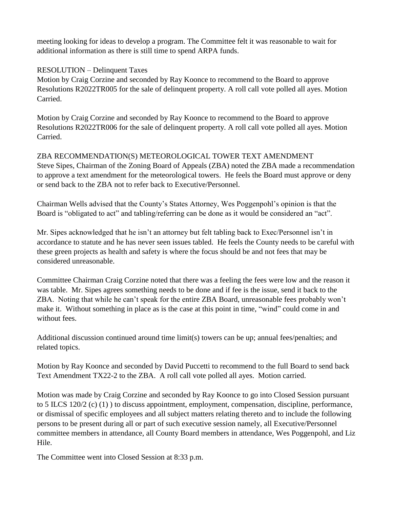meeting looking for ideas to develop a program. The Committee felt it was reasonable to wait for additional information as there is still time to spend ARPA funds.

## RESOLUTION – Delinquent Taxes

Motion by Craig Corzine and seconded by Ray Koonce to recommend to the Board to approve Resolutions R2022TR005 for the sale of delinquent property. A roll call vote polled all ayes. Motion Carried.

Motion by Craig Corzine and seconded by Ray Koonce to recommend to the Board to approve Resolutions R2022TR006 for the sale of delinquent property. A roll call vote polled all ayes. Motion Carried.

ZBA RECOMMENDATION(S) METEOROLOGICAL TOWER TEXT AMENDMENT Steve Sipes, Chairman of the Zoning Board of Appeals (ZBA) noted the ZBA made a recommendation to approve a text amendment for the meteorological towers. He feels the Board must approve or deny or send back to the ZBA not to refer back to Executive/Personnel.

Chairman Wells advised that the County's States Attorney, Wes Poggenpohl's opinion is that the Board is "obligated to act" and tabling/referring can be done as it would be considered an "act".

Mr. Sipes acknowledged that he isn't an attorney but felt tabling back to Exec/Personnel isn't in accordance to statute and he has never seen issues tabled. He feels the County needs to be careful with these green projects as health and safety is where the focus should be and not fees that may be considered unreasonable.

Committee Chairman Craig Corzine noted that there was a feeling the fees were low and the reason it was table. Mr. Sipes agrees something needs to be done and if fee is the issue, send it back to the ZBA. Noting that while he can't speak for the entire ZBA Board, unreasonable fees probably won't make it. Without something in place as is the case at this point in time, "wind" could come in and without fees.

Additional discussion continued around time limit(s) towers can be up; annual fees/penalties; and related topics.

Motion by Ray Koonce and seconded by David Puccetti to recommend to the full Board to send back Text Amendment TX22-2 to the ZBA. A roll call vote polled all ayes. Motion carried.

Motion was made by Craig Corzine and seconded by Ray Koonce to go into Closed Session pursuant to 5 ILCS 120/2 (c) (1) ) to discuss appointment, employment, compensation, discipline, performance, or dismissal of specific employees and all subject matters relating thereto and to include the following persons to be present during all or part of such executive session namely, all Executive/Personnel committee members in attendance, all County Board members in attendance, Wes Poggenpohl, and Liz Hile.

The Committee went into Closed Session at 8:33 p.m.